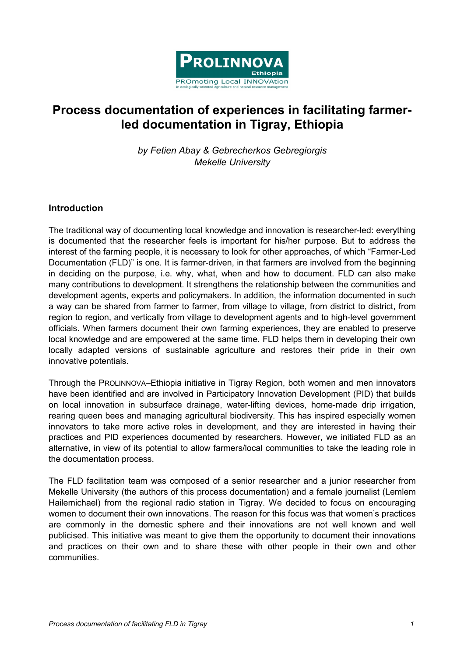

# Process documentation of experiences in facilitating farmerled documentation in Tigray, Ethiopia

by Fetien Abay & Gebrecherkos Gebregiorgis Mekelle University

#### **Introduction**

The traditional way of documenting local knowledge and innovation is researcher-led: everything is documented that the researcher feels is important for his/her purpose. But to address the interest of the farming people, it is necessary to look for other approaches, of which "Farmer-Led Documentation (FLD)" is one. It is farmer-driven, in that farmers are involved from the beginning in deciding on the purpose, i.e. why, what, when and how to document. FLD can also make many contributions to development. It strengthens the relationship between the communities and development agents, experts and policymakers. In addition, the information documented in such a way can be shared from farmer to farmer, from village to village, from district to district, from region to region, and vertically from village to development agents and to high-level government officials. When farmers document their own farming experiences, they are enabled to preserve local knowledge and are empowered at the same time. FLD helps them in developing their own locally adapted versions of sustainable agriculture and restores their pride in their own innovative potentials.

Through the PROLINNOVA–Ethiopia initiative in Tigray Region, both women and men innovators have been identified and are involved in Participatory Innovation Development (PID) that builds on local innovation in subsurface drainage, water-lifting devices, home-made drip irrigation, rearing queen bees and managing agricultural biodiversity. This has inspired especially women innovators to take more active roles in development, and they are interested in having their practices and PID experiences documented by researchers. However, we initiated FLD as an alternative, in view of its potential to allow farmers/local communities to take the leading role in the documentation process.

The FLD facilitation team was composed of a senior researcher and a junior researcher from Mekelle University (the authors of this process documentation) and a female journalist (Lemlem Hailemichael) from the regional radio station in Tigray. We decided to focus on encouraging women to document their own innovations. The reason for this focus was that women's practices are commonly in the domestic sphere and their innovations are not well known and well publicised. This initiative was meant to give them the opportunity to document their innovations and practices on their own and to share these with other people in their own and other communities.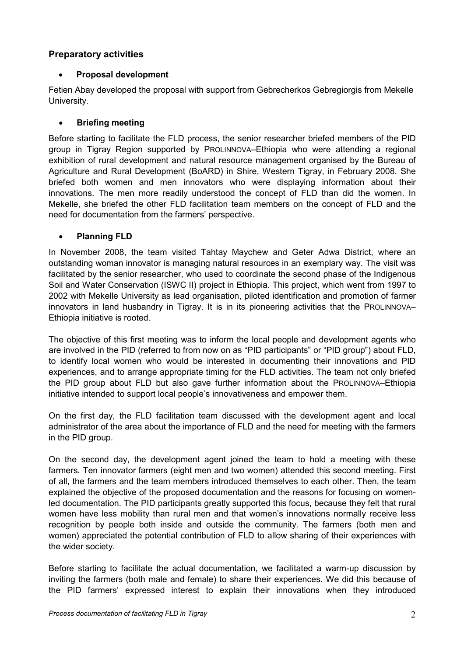## Preparatory activities

#### • Proposal development

Fetien Abay developed the proposal with support from Gebrecherkos Gebregiorgis from Mekelle University.

#### • Briefing meeting

Before starting to facilitate the FLD process, the senior researcher briefed members of the PID group in Tigray Region supported by PROLINNOVA–Ethiopia who were attending a regional exhibition of rural development and natural resource management organised by the Bureau of Agriculture and Rural Development (BoARD) in Shire, Western Tigray, in February 2008. She briefed both women and men innovators who were displaying information about their innovations. The men more readily understood the concept of FLD than did the women. In Mekelle, she briefed the other FLD facilitation team members on the concept of FLD and the need for documentation from the farmers' perspective.

## • Planning FLD

In November 2008, the team visited Tahtay Maychew and Geter Adwa District, where an outstanding woman innovator is managing natural resources in an exemplary way. The visit was facilitated by the senior researcher, who used to coordinate the second phase of the Indigenous Soil and Water Conservation (ISWC II) project in Ethiopia. This project, which went from 1997 to 2002 with Mekelle University as lead organisation, piloted identification and promotion of farmer innovators in land husbandry in Tigray. It is in its pioneering activities that the PROLINNOVA– Ethiopia initiative is rooted.

The objective of this first meeting was to inform the local people and development agents who are involved in the PID (referred to from now on as "PID participants" or "PID group") about FLD, to identify local women who would be interested in documenting their innovations and PID experiences, and to arrange appropriate timing for the FLD activities. The team not only briefed the PID group about FLD but also gave further information about the PROLINNOVA–Ethiopia initiative intended to support local people's innovativeness and empower them.

On the first day, the FLD facilitation team discussed with the development agent and local administrator of the area about the importance of FLD and the need for meeting with the farmers in the PID group.

On the second day, the development agent joined the team to hold a meeting with these farmers. Ten innovator farmers (eight men and two women) attended this second meeting. First of all, the farmers and the team members introduced themselves to each other. Then, the team explained the objective of the proposed documentation and the reasons for focusing on womenled documentation. The PID participants greatly supported this focus, because they felt that rural women have less mobility than rural men and that women's innovations normally receive less recognition by people both inside and outside the community. The farmers (both men and women) appreciated the potential contribution of FLD to allow sharing of their experiences with the wider society.

Before starting to facilitate the actual documentation, we facilitated a warm-up discussion by inviting the farmers (both male and female) to share their experiences. We did this because of the PID farmers' expressed interest to explain their innovations when they introduced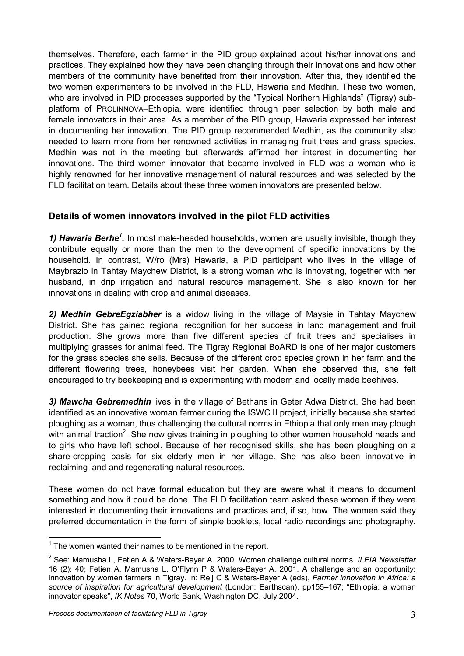themselves. Therefore, each farmer in the PID group explained about his/her innovations and practices. They explained how they have been changing through their innovations and how other members of the community have benefited from their innovation. After this, they identified the two women experimenters to be involved in the FLD, Hawaria and Medhin. These two women, who are involved in PID processes supported by the "Typical Northern Highlands" (Tigray) subplatform of PROLINNOVA–Ethiopia, were identified through peer selection by both male and female innovators in their area. As a member of the PID group, Hawaria expressed her interest in documenting her innovation. The PID group recommended Medhin, as the community also needed to learn more from her renowned activities in managing fruit trees and grass species. Medhin was not in the meeting but afterwards affirmed her interest in documenting her innovations. The third women innovator that became involved in FLD was a woman who is highly renowned for her innovative management of natural resources and was selected by the FLD facilitation team. Details about these three women innovators are presented below.

## Details of women innovators involved in the pilot FLD activities

1) Hawaria Berhe<sup>1</sup>. In most male-headed households, women are usually invisible, though they contribute equally or more than the men to the development of specific innovations by the household. In contrast, W/ro (Mrs) Hawaria, a PID participant who lives in the village of Maybrazio in Tahtay Maychew District, is a strong woman who is innovating, together with her husband, in drip irrigation and natural resource management. She is also known for her innovations in dealing with crop and animal diseases.

2) Medhin GebreEgziabher is a widow living in the village of Maysie in Tahtay Maychew District. She has gained regional recognition for her success in land management and fruit production. She grows more than five different species of fruit trees and specialises in multiplying grasses for animal feed. The Tigray Regional BoARD is one of her major customers for the grass species she sells. Because of the different crop species grown in her farm and the different flowering trees, honeybees visit her garden. When she observed this, she felt encouraged to try beekeeping and is experimenting with modern and locally made beehives.

3) Mawcha Gebremedhin lives in the village of Bethans in Geter Adwa District. She had been identified as an innovative woman farmer during the ISWC II project, initially because she started ploughing as a woman, thus challenging the cultural norms in Ethiopia that only men may plough with animal traction<sup>2</sup>. She now gives training in ploughing to other women household heads and to girls who have left school. Because of her recognised skills, she has been ploughing on a share-cropping basis for six elderly men in her village. She has also been innovative in reclaiming land and regenerating natural resources.

These women do not have formal education but they are aware what it means to document something and how it could be done. The FLD facilitation team asked these women if they were interested in documenting their innovations and practices and, if so, how. The women said they preferred documentation in the form of simple booklets, local radio recordings and photography.

l.

 $1$  The women wanted their names to be mentioned in the report.

<sup>&</sup>lt;sup>2</sup> See: Mamusha L, Fetien A & Waters-Bayer A. 2000. Women challenge cultural norms. ILEIA Newsletter 16 (2): 40; Fetien A, Mamusha L, O'Flynn P & Waters-Bayer A. 2001. A challenge and an opportunity: innovation by women farmers in Tigray. In: Reij C & Waters-Bayer A (eds), Farmer innovation in Africa: a source of inspiration for agricultural development (London: Earthscan), pp155-167; "Ethiopia: a woman innovator speaks", IK Notes 70, World Bank, Washington DC, July 2004.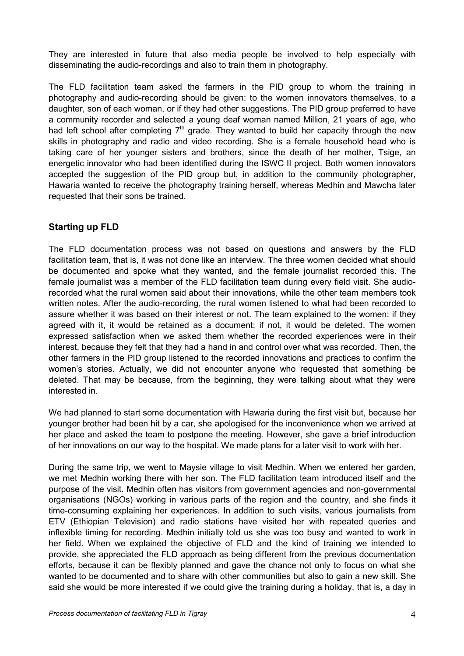They are interested in future that also media people be involved to help especially with disseminating the audio-recordings and also to train them in photography.

The FLD facilitation team asked the farmers in the PID group to whom the training in photography and audio-recording should be given: to the women innovators themselves, to a daughter, son of each woman, or if they had other suggestions. The PID group preferred to have a community recorder and selected a young deaf woman named Million, 21 years of age, who had left school after completing  $7<sup>th</sup>$  grade. They wanted to build her capacity through the new skills in photography and radio and video recording. She is a female household head who is taking care of her younger sisters and brothers, since the death of her mother, Tsige, an energetic innovator who had been identified during the ISWC II project. Both women innovators accepted the suggestion of the PID group but, in addition to the community photographer, Hawaria wanted to receive the photography training herself, whereas Medhin and Mawcha later requested that their sons be trained.

# Starting up FLD

The FLD documentation process was not based on questions and answers by the FLD facilitation team, that is, it was not done like an interview. The three women decided what should be documented and spoke what they wanted, and the female journalist recorded this. The female journalist was a member of the FLD facilitation team during every field visit. She audiorecorded what the rural women said about their innovations, while the other team members took written notes. After the audio-recording, the rural women listened to what had been recorded to assure whether it was based on their interest or not. The team explained to the women: if they agreed with it, it would be retained as a document; if not, it would be deleted. The women expressed satisfaction when we asked them whether the recorded experiences were in their interest, because they felt that they had a hand in and control over what was recorded. Then, the other farmers in the PID group listened to the recorded innovations and practices to confirm the women's stories. Actually, we did not encounter anyone who requested that something be deleted. That may be because, from the beginning, they were talking about what they were interested in.

We had planned to start some documentation with Hawaria during the first visit but, because her younger brother had been hit by a car, she apologised for the inconvenience when we arrived at her place and asked the team to postpone the meeting. However, she gave a brief introduction of her innovations on our way to the hospital. We made plans for a later visit to work with her.

During the same trip, we went to Maysie village to visit Medhin. When we entered her garden, we met Medhin working there with her son. The FLD facilitation team introduced itself and the purpose of the visit. Medhin often has visitors from government agencies and non-governmental organisations (NGOs) working in various parts of the region and the country, and she finds it time-consuming explaining her experiences. In addition to such visits, various journalists from ETV (Ethiopian Television) and radio stations have visited her with repeated queries and inflexible timing for recording. Medhin initially told us she was too busy and wanted to work in her field. When we explained the objective of FLD and the kind of training we intended to provide, she appreciated the FLD approach as being different from the previous documentation efforts, because it can be flexibly planned and gave the chance not only to focus on what she wanted to be documented and to share with other communities but also to gain a new skill. She said she would be more interested if we could give the training during a holiday, that is, a day in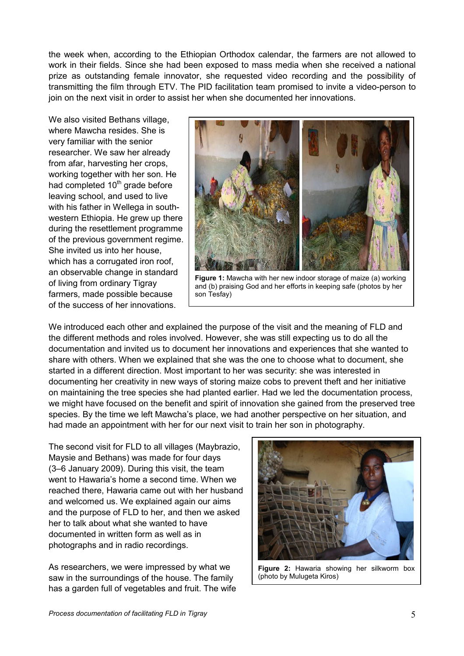the week when, according to the Ethiopian Orthodox calendar, the farmers are not allowed to work in their fields. Since she had been exposed to mass media when she received a national prize as outstanding female innovator, she requested video recording and the possibility of transmitting the film through ETV. The PID facilitation team promised to invite a video-person to join on the next visit in order to assist her when she documented her innovations.

We also visited Bethans village, where Mawcha resides. She is very familiar with the senior researcher. We saw her already from afar, harvesting her crops, working together with her son. He had completed  $10<sup>th</sup>$  grade before leaving school, and used to live with his father in Wellega in southwestern Ethiopia. He grew up there during the resettlement programme of the previous government regime. She invited us into her house, which has a corrugated iron roof, an observable change in standard of living from ordinary Tigray farmers, made possible because of the success of her innovations.



Figure 1: Mawcha with her new indoor storage of maize (a) working and (b) praising God and her efforts in keeping safe (photos by her son Tesfay)

We introduced each other and explained the purpose of the visit and the meaning of FLD and the different methods and roles involved. However, she was still expecting us to do all the documentation and invited us to document her innovations and experiences that she wanted to share with others. When we explained that she was the one to choose what to document, she started in a different direction. Most important to her was security: she was interested in documenting her creativity in new ways of storing maize cobs to prevent theft and her initiative on maintaining the tree species she had planted earlier. Had we led the documentation process, we might have focused on the benefit and spirit of innovation she gained from the preserved tree species. By the time we left Mawcha's place, we had another perspective on her situation, and had made an appointment with her for our next visit to train her son in photography.

The second visit for FLD to all villages (Maybrazio, Maysie and Bethans) was made for four days (3–6 January 2009). During this visit, the team went to Hawaria's home a second time. When we reached there, Hawaria came out with her husband and welcomed us. We explained again our aims and the purpose of FLD to her, and then we asked her to talk about what she wanted to have documented in written form as well as in photographs and in radio recordings.

As researchers, we were impressed by what we saw in the surroundings of the house. The family has a garden full of vegetables and fruit. The wife



Figure 2: Hawaria showing her silkworm box (photo by Mulugeta Kiros)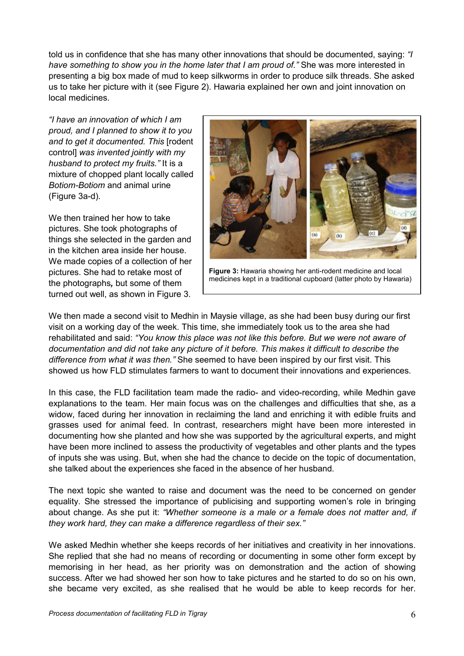told us in confidence that she has many other innovations that should be documented, saying: "I have something to show you in the home later that I am proud of." She was more interested in presenting a big box made of mud to keep silkworms in order to produce silk threads. She asked us to take her picture with it (see Figure 2). Hawaria explained her own and joint innovation on local medicines.

"I have an innovation of which I am proud, and I planned to show it to you and to get it documented. This Irodent control] was invented jointly with my husband to protect my fruits." It is a mixture of chopped plant locally called Botiom-Botiom and animal urine (Figure 3a-d).

We then trained her how to take pictures. She took photographs of things she selected in the garden and in the kitchen area inside her house. We made copies of a collection of her pictures. She had to retake most of the photographs, but some of them turned out well, as shown in Figure 3.



Figure 3: Hawaria showing her anti-rodent medicine and local medicines kept in a traditional cupboard (latter photo by Hawaria)

We then made a second visit to Medhin in Maysie village, as she had been busy during our first visit on a working day of the week. This time, she immediately took us to the area she had rehabilitated and said: "You know this place was not like this before. But we were not aware of documentation and did not take any picture of it before. This makes it difficult to describe the difference from what it was then." She seemed to have been inspired by our first visit. This showed us how FLD stimulates farmers to want to document their innovations and experiences.

In this case, the FLD facilitation team made the radio- and video-recording, while Medhin gave explanations to the team. Her main focus was on the challenges and difficulties that she, as a widow, faced during her innovation in reclaiming the land and enriching it with edible fruits and grasses used for animal feed. In contrast, researchers might have been more interested in documenting how she planted and how she was supported by the agricultural experts, and might have been more inclined to assess the productivity of vegetables and other plants and the types of inputs she was using. But, when she had the chance to decide on the topic of documentation, she talked about the experiences she faced in the absence of her husband.

The next topic she wanted to raise and document was the need to be concerned on gender equality. She stressed the importance of publicising and supporting women's role in bringing about change. As she put it: "Whether someone is a male or a female does not matter and, if they work hard, they can make a difference regardless of their sex."

We asked Medhin whether she keeps records of her initiatives and creativity in her innovations. She replied that she had no means of recording or documenting in some other form except by memorising in her head, as her priority was on demonstration and the action of showing success. After we had showed her son how to take pictures and he started to do so on his own, she became very excited, as she realised that he would be able to keep records for her.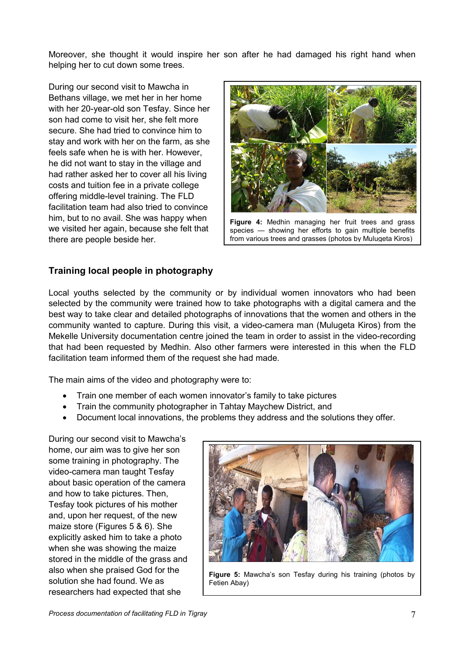Moreover, she thought it would inspire her son after he had damaged his right hand when helping her to cut down some trees.

During our second visit to Mawcha in Bethans village, we met her in her home with her 20-year-old son Tesfay. Since her son had come to visit her, she felt more secure. She had tried to convince him to stay and work with her on the farm, as she feels safe when he is with her. However, he did not want to stay in the village and had rather asked her to cover all his living costs and tuition fee in a private college offering middle-level training. The FLD facilitation team had also tried to convince him, but to no avail. She was happy when we visited her again, because she felt that there are people beside her.



Figure 4: Medhin managing her fruit trees and grass species — showing her efforts to gain multiple benefits from various trees and grasses (photos by Mulugeta Kiros)

# Training local people in photography

Local youths selected by the community or by individual women innovators who had been selected by the community were trained how to take photographs with a digital camera and the best way to take clear and detailed photographs of innovations that the women and others in the community wanted to capture. During this visit, a video-camera man (Mulugeta Kiros) from the Mekelle University documentation centre joined the team in order to assist in the video-recording that had been requested by Medhin. Also other farmers were interested in this when the FLD facilitation team informed them of the request she had made.

The main aims of the video and photography were to:

- Train one member of each women innovator's family to take pictures
- Train the community photographer in Tahtay Maychew District, and
- Document local innovations, the problems they address and the solutions they offer.

During our second visit to Mawcha's home, our aim was to give her son some training in photography. The video-camera man taught Tesfay about basic operation of the camera and how to take pictures. Then, Tesfay took pictures of his mother and, upon her request, of the new maize store (Figures 5 & 6). She explicitly asked him to take a photo when she was showing the maize stored in the middle of the grass and also when she praised God for the solution she had found. We as researchers had expected that she



Figure 5: Mawcha's son Tesfay during his training (photos by Fetien Abay)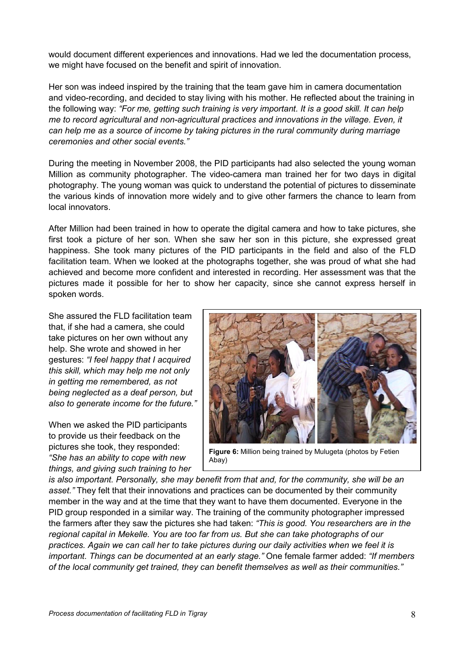would document different experiences and innovations. Had we led the documentation process, we might have focused on the benefit and spirit of innovation.

Her son was indeed inspired by the training that the team gave him in camera documentation and video-recording, and decided to stay living with his mother. He reflected about the training in the following way: "For me, getting such training is very important. It is a good skill. It can help me to record agricultural and non-agricultural practices and innovations in the village. Even, it can help me as a source of income by taking pictures in the rural community during marriage ceremonies and other social events."

During the meeting in November 2008, the PID participants had also selected the young woman Million as community photographer. The video-camera man trained her for two days in digital photography. The young woman was quick to understand the potential of pictures to disseminate the various kinds of innovation more widely and to give other farmers the chance to learn from local innovators.

After Million had been trained in how to operate the digital camera and how to take pictures, she first took a picture of her son. When she saw her son in this picture, she expressed great happiness. She took many pictures of the PID participants in the field and also of the FLD facilitation team. When we looked at the photographs together, she was proud of what she had achieved and become more confident and interested in recording. Her assessment was that the pictures made it possible for her to show her capacity, since she cannot express herself in spoken words.

She assured the FLD facilitation team that, if she had a camera, she could take pictures on her own without any help. She wrote and showed in her gestures: "I feel happy that I acquired this skill, which may help me not only in getting me remembered, as not being neglected as a deaf person, but also to generate income for the future."

When we asked the PID participants to provide us their feedback on the pictures she took, they responded: "She has an ability to cope with new things, and giving such training to her



Figure 6: Million being trained by Mulugeta (photos by Fetien Abay)

is also important. Personally, she may benefit from that and, for the community, she will be an asset." They felt that their innovations and practices can be documented by their community member in the way and at the time that they want to have them documented. Everyone in the PID group responded in a similar way. The training of the community photographer impressed the farmers after they saw the pictures she had taken: "This is good. You researchers are in the regional capital in Mekelle. You are too far from us. But she can take photographs of our practices. Again we can call her to take pictures during our daily activities when we feel it is important. Things can be documented at an early stage." One female farmer added: "If members of the local community get trained, they can benefit themselves as well as their communities."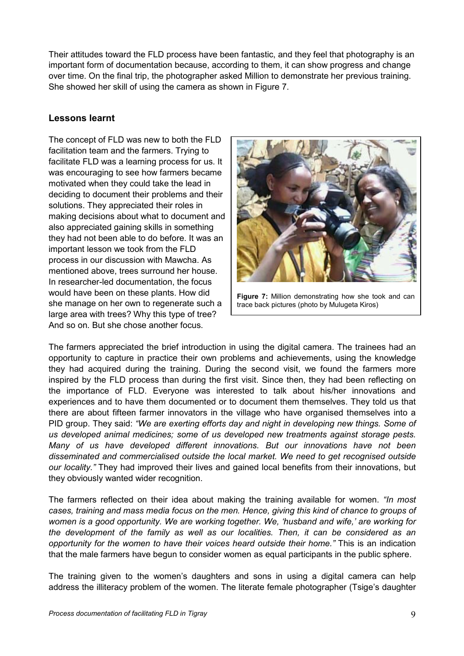Their attitudes toward the FLD process have been fantastic, and they feel that photography is an important form of documentation because, according to them, it can show progress and change over time. On the final trip, the photographer asked Million to demonstrate her previous training. She showed her skill of using the camera as shown in Figure 7.

# Lessons learnt

The concept of FLD was new to both the FLD facilitation team and the farmers. Trying to facilitate FLD was a learning process for us. It was encouraging to see how farmers became motivated when they could take the lead in deciding to document their problems and their solutions. They appreciated their roles in making decisions about what to document and also appreciated gaining skills in something they had not been able to do before. It was an important lesson we took from the FLD process in our discussion with Mawcha. As mentioned above, trees surround her house. In researcher-led documentation, the focus would have been on these plants. How did she manage on her own to regenerate such a large area with trees? Why this type of tree? And so on. But she chose another focus.



Figure 7: Million demonstrating how she took and can trace back pictures (photo by Mulugeta Kiros)

The farmers appreciated the brief introduction in using the digital camera. The trainees had an opportunity to capture in practice their own problems and achievements, using the knowledge they had acquired during the training. During the second visit, we found the farmers more inspired by the FLD process than during the first visit. Since then, they had been reflecting on the importance of FLD. Everyone was interested to talk about his/her innovations and experiences and to have them documented or to document them themselves. They told us that there are about fifteen farmer innovators in the village who have organised themselves into a PID group. They said: "We are exerting efforts day and night in developing new things. Some of us developed animal medicines; some of us developed new treatments against storage pests. Many of us have developed different innovations. But our innovations have not been disseminated and commercialised outside the local market. We need to get recognised outside our locality." They had improved their lives and gained local benefits from their innovations, but they obviously wanted wider recognition.

The farmers reflected on their idea about making the training available for women. "In most cases, training and mass media focus on the men. Hence, giving this kind of chance to groups of women is a good opportunity. We are working together. We, 'husband and wife,' are working for the development of the family as well as our localities. Then, it can be considered as an opportunity for the women to have their voices heard outside their home." This is an indication that the male farmers have begun to consider women as equal participants in the public sphere.

The training given to the women's daughters and sons in using a digital camera can help address the illiteracy problem of the women. The literate female photographer (Tsige's daughter